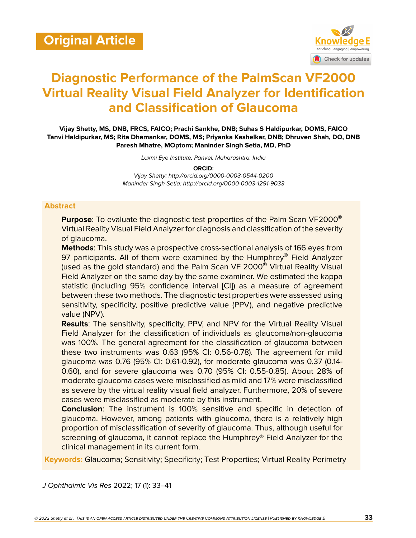

# **Diagnostic Performance of the PalmScan VF2000 Virtual Reality Visual Field Analyzer for Identification and Classification of Glaucoma**

**Vijay Shetty, MS, DNB, FRCS, FAICO; Prachi Sankhe, DNB; Suhas S Haldipurkar, DOMS, FAICO Tanvi Haldipurkar, MS; Rita Dhamankar, DOMS, MS; Priyanka Kashelkar, DNB; Dhruven Shah, DO, DNB Paresh Mhatre, MOptom; Maninder Singh Setia, MD, PhD**

*Laxmi Eye Institute, Panvel, Maharashtra, India*

**ORCID:** *Vijay Shetty: http://orcid.org/0000-0003-0544-0200 Maninder Singh Setia: http://orcid.org/0000-0003-1291-9033*

#### **Abstract**

**Purpose**: To evaluate the diagnostic test properties of the Palm Scan VF2000® Virtual Reality Visual Field Analyzer for diagnosis and classification of the severity of glaucoma.

**Methods**: This study was a prospective cross-sectional analysis of 166 eyes from 97 participants. All of them were examined by the Humphrey<sup>®</sup> Field Analyzer (used as the gold standard) and the Palm Scan VF 2000® Virtual Reality Visual Field Analyzer on the same day by the same examiner. We estimated the kappa statistic (including 95% confidence interval [CI]) as a measure of agreement between these two methods. The diagnostic test properties were assessed using sensitivity, specificity, positive predictive value (PPV), and negative predictive value (NPV).

**Results**: The sensitivity, specificity, PPV, and NPV for the Virtual Reality Visual Field Analyzer for the classification of individuals as glaucoma/non-glaucoma was 100%. The general agreement for the classification of glaucoma between these two instruments was 0.63 (95% CI: 0.56-0.78). The agreement for mild glaucoma was 0.76 (95% CI: 0.61-0.92), for moderate glaucoma was 0.37 (0.14- 0.60), and for severe glaucoma was 0.70 (95% CI: 0.55-0.85). About 28% of moderate glaucoma cases were misclassified as mild and 17% were misclassified as severe by the virtual reality visual field analyzer. Furthermore, 20% of severe cases were misclassified as moderate by this instrument.

**Conclusion**: The instrument is 100% sensitive and specific in detection of glaucoma. However, among patients with glaucoma, there is a relatively high proportion of misclassification of severity of glaucoma. Thus, although useful for screening of glaucoma, it cannot replace the Humphrey® Field Analyzer for the clinical management in its current form.

**Keywords:** Glaucoma; Sensitivity; Specificity; Test Properties; Virtual Reality Perimetry

*J Ophthalmic Vis Res* 2022; 17 (1): 33–41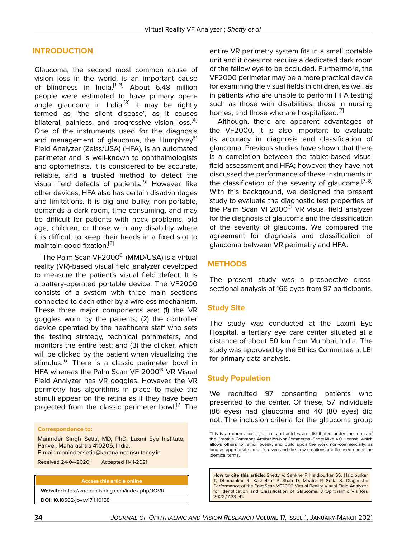#### **INTRODUCTION**

Glaucoma, the second most common cause of vision loss in the world, is an important cause of blindness in India. $[1-3]$  $[1-3]$  $[1-3]$  $[1-3]$  About 6.48 million people were estimated to have primary open-angle glaucoma in India.<sup>[\[3\]](#page-7-1)</sup> It may be rightly termed as "the silent disease", as it causes bilateral, painless, and progressive vision loss.<sup>[\[4](#page-7-2)]</sup> One of the instruments used for the diagnosis and management of glaucoma, the Humphrey<sup>®</sup> Field Analyzer (Zeiss/USA) (HFA), is an automated perimeter and is well-known to ophthalmologists and optometrists. It is considered to be accurate, reliable, and a trusted method to detect the visual field defects of patients.<sup>[\[5\]](#page-7-3)</sup> However, like other devices, HFA also has certain disadvantages and limitations. It is big and bulky, non-portable, demands a dark room, time-consuming, and may be difficult for patients with neck problems, old age, children, or those with any disability where it is difficult to keep their heads in a fixed slot to maintain good fixation.<sup>[\[6\]](#page-7-4)</sup>

The Palm Scan VF2000® (MMD/USA) is a virtual reality (VR)-based visual field analyzer developed to measure the patient's visual field defect. It is a battery-operated portable device. The VF2000 consists of a system with three main sections connected to each other by a wireless mechanism. These three major components are: (1) the VR goggles worn by the patients; (2) the controller device operated by the healthcare staff who sets the testing strategy, technical parameters, and monitors the entire test; and (3) the clicker, which will be clicked by the patient when visualizing the stimulus.<sup>[\[6\]](#page-7-4)</sup> There is a classic perimeter bowl in HFA whereas the Palm Scan VF 2000<sup>®</sup> VR Visual Field Analyzer has VR goggles. However, the VR perimetry has algorithms in place to make the stimuli appear on the retina as if they have been projected from the classic perimeter bowl.<sup>[\[7](#page-7-5)]</sup> The

#### **Correspondence to:**

Maninder Singh Setia, MD, PhD. Laxmi Eye Institute, Panvel, Maharashtra 410206, India. E-mail: maninder.setia@karanamconsultancy.in

Received 24-04-2020; Accepted 11-11-2021

**Access this article online**

**Website:** <https://knepublishing.com/index.php/JOVR> **DOI:** 10.18502/jovr.v17i1.10168

entire VR perimetry system fits in a small portable unit and it does not require a dedicated dark room or the fellow eye to be occluded. Furthermore, the VF2000 perimeter may be a more practical device for examining the visual fields in children, as well as in patients who are unable to perform HFA testing such as those with disabilities, those in nursing homes, and those who are hospitalized.<sup>[\[7](#page-7-5)]</sup>

Although, there are apparent advantages of the VF2000, it is also important to evaluate its accuracy in diagnosis and classification of glaucoma. Previous studies have shown that there is a correlation between the tablet-based visual field assessment and HFA; however, they have not discussed the performance of these instruments in the classification of the severity of glaucoma.<sup>[\[7](#page-7-5), [8](#page-7-6)]</sup> With this background, we designed the present study to evaluate the diagnostic test properties of the Palm Scan VF2000<sup>®</sup> VR visual field analyzer for the diagnosis of glaucoma and the classification of the severity of glaucoma. We compared the agreement for diagnosis and classification of glaucoma between VR perimetry and HFA.

#### **METHODS**

The present study was a prospective crosssectional analysis of 166 eyes from 97 participants.

#### **Study Site**

The study was conducted at the Laxmi Eye Hospital, a tertiary eye care center situated at a distance of about 50 km from Mumbai, India. The study was approved by the Ethics Committee at LEI for primary data analysis.

#### **Study Population**

We recruited 97 consenting patients who presented to the center. Of these, 57 individuals (86 eyes) had glaucoma and 40 (80 eyes) did not. The inclusion criteria for the glaucoma group

**How to cite this article:** Shetty V, Sankhe P, Haldipurkar SS, Haldipurkar T, Dhamankar R, Kashelkar P, Shah D, Mhatre P, Setia S. Diagnostic Performance of the PalmScan VF2000 Virtual Reality Visual Field Analyzer for Identification and Classification of Glaucoma. J Ophthalmic Vis Res 2022;17:33–41.

This is an open access journal, and articles are distributed under the terms of the Creative Commons Attribution-NonCommercial-ShareAlike 4.0 License, which allows others to remix, tweak, and build upon the work non-commercially, as long as appropriate credit is given and the new creations are licensed under the identical terms.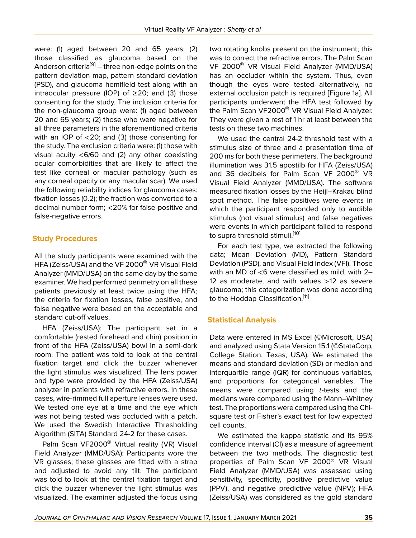were: (1) aged between 20 and 65 years; (2) those classified as glaucoma based on the Anderson criteria<sup>[\[9\]](#page-7-7)</sup> – three non-edge points on the pattern deviation map, pattern standard deviation (PSD), and glaucoma hemifield test along with an intraocular pressure (IOP) of  $\geq$ 20; and (3) those consenting for the study. The inclusion criteria for the non-glaucoma group were: (1) aged between 20 and 65 years; (2) those who were negative for all three parameters in the aforementioned criteria with an IOP of <20; and (3) those consenting for the study. The exclusion criteria were: (1) those with visual acuity <6/60 and (2) any other coexisting ocular comorbidities that are likely to affect the test like corneal or macular pathology (such as any corneal opacity or any macular scar). We used the following reliability indices for glaucoma cases: fixation losses (0.2); the fraction was converted to a decimal number form; <20% for false-positive and false-negative errors.

## **Study Procedures**

All the study participants were examined with the HFA (Zeiss/USA) and the VF 2000® VR Visual Field Analyzer (MMD/USA) on the same day by the same examiner. We had performed perimetry on all these patients previously at least twice using the HFA; the criteria for fixation losses, false positive, and false negative were based on the acceptable and standard cut-off values.

HFA (Zeiss/USA): The participant sat in a comfortable (rested forehead and chin) position in front of the HFA (Zeiss/USA) bowl in a semi-dark room. The patient was told to look at the central fixation target and click the buzzer whenever the light stimulus was visualized. The lens power and type were provided by the HFA (Zeiss/USA) analyzer in patients with refractive errors. In these cases, wire-rimmed full aperture lenses were used. We tested one eye at a time and the eye which was not being tested was occluded with a patch. We used the Swedish Interactive Thresholding Algorithm (SITA) Standard 24-2 for these cases.

Palm Scan VF2000<sup>®</sup> Virtual reality (VR) Visual Field Analyzer (MMD/USA): Participants wore the VR glasses; these glasses are fitted with a strap and adjusted to avoid any tilt. The participant was told to look at the central fixation target and click the buzzer whenever the light stimulus was visualized. The examiner adjusted the focus using two rotating knobs present on the instrument; this was to correct the refractive errors. The Palm Scan VF 2000<sup>®</sup> VR Visual Field Analyzer (MMD/USA) has an occluder within the system. Thus, even though the eyes were tested alternatively, no external occlusion patch is required [Figure 1a]. All participants underwent the HFA test followed by the Palm Scan VF2000<sup>®</sup> VR Visual Field Analyzer. They were given a rest of 1 hr at least between the tests on these two machines.

We used the central 24-2 threshold test with a stimulus size of three and a presentation time of 200 ms for both these perimeters. The background illumination was 31.5 apostilb for HFA (Zeiss/USA) and 36 decibels for Palm Scan VF 2000® VR Visual Field Analyzer (MMD/USA). The software measured fixation losses by the Heijl–Krakau blind spot method. The false positives were events in which the participant responded only to audible stimulus (not visual stimulus) and false negatives were events in which participant failed to respond to supra threshold stimuli.<sup>[\[10](#page-7-8)]</sup>

For each test type, we extracted the following data; Mean Deviation (MD), Pattern Standard Deviation (PSD), and Visual Field Index (VFI). Those with an MD of  $<$ 6 were classified as mild, with 2– 12 as moderate, and with values >12 as severe glaucoma; this categorization was done according to the Hoddap Classification.<sup>[\[11](#page-7-9)]</sup>

## **Statistical Analysis**

Data were entered in MS Excel (©Microsoft, USA) and analyzed using Stata Version 15.1 (©StataCorp, College Station, Texas, USA). We estimated the means and standard deviation (SD) or median and interquartile range (IQR) for continuous variables, and proportions for categorical variables. The means were compared using *t*-tests and the medians were compared using the Mann–Whitney test. The proportions were compared using the Chisquare test or Fisher's exact test for low expected cell counts.

We estimated the kappa statistic and its 95% confidence interval (CI) as a measure of agreement between the two methods. The diagnostic test properties of Palm Scan VF 2000® VR Visual Field Analyzer (MMD/USA) was assessed using sensitivity, specificity, positive predictive value (PPV), and negative predictive value (NPV); HFA (Zeiss/USA) was considered as the gold standard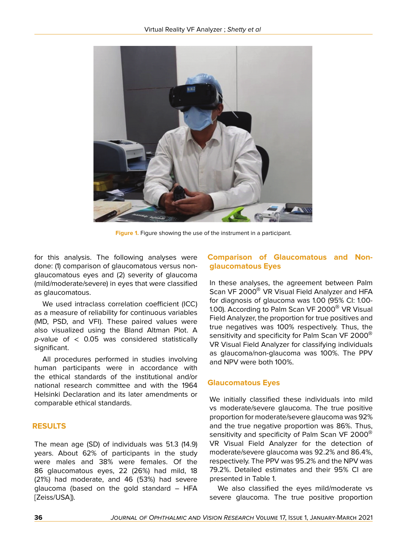

**Figure 1.** Figure showing the use of the instrument in a participant.

for this analysis. The following analyses were done: (1) comparison of glaucomatous versus nonglaucomatous eyes and (2) severity of glaucoma (mild/moderate/severe) in eyes that were classified as glaucomatous.

We used intraclass correlation coefficient (ICC) as a measure of reliability for continuous variables (MD, PSD, and VFI). These paired values were also visualized using the Bland Altman Plot. A *p*-value of < 0.05 was considered statistically significant.

All procedures performed in studies involving human participants were in accordance with the ethical standards of the institutional and/or national research committee and with the 1964 Helsinki Declaration and its later amendments or comparable ethical standards.

## **RESULTS**

The mean age (SD) of individuals was 51.3 (14.9) years. About 62% of participants in the study were males and 38% were females. Of the 86 glaucomatous eyes, 22 (26%) had mild, 18 (21%) had moderate, and 46 (53%) had severe glaucoma (based on the gold standard – HFA [Zeiss/USA]).

## **Comparison of Glaucomatous and Nonglaucomatous Eyes**

In these analyses, the agreement between Palm Scan VF 2000<sup>®</sup> VR Visual Field Analyzer and HFA for diagnosis of glaucoma was 1.00 (95% CI: 1.00- 1.00). According to Palm Scan VF 2000® VR Visual Field Analyzer, the proportion for true positives and true negatives was 100% respectively. Thus, the sensitivity and specificity for Palm Scan VF 2000<sup>®</sup> VR Visual Field Analyzer for classifying individuals as glaucoma/non-glaucoma was 100%. The PPV and NPV were both 100%.

## **Glaucomatous Eyes**

We initially classified these individuals into mild vs moderate/severe glaucoma. The true positive proportion for moderate/severe glaucoma was 92% and the true negative proportion was 86%. Thus, sensitivity and specificity of Palm Scan VF 2000<sup>®</sup> VR Visual Field Analyzer for the detection of moderate/severe glaucoma was 92.2% and 86.4%, respectively. The PPV was 95.2% and the NPV was 79.2%. Detailed estimates and their 95% CI are presented in Table 1.

We also classified the eyes mild/moderate vs severe glaucoma. The true positive proportion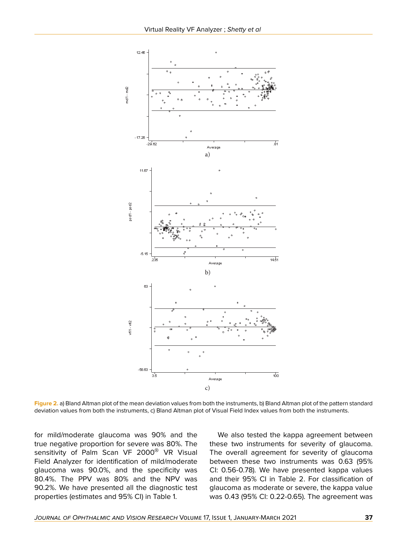

**Figure 2.** a) Bland Altman plot of the mean deviation values from both the instruments, b) Bland Altman plot of the pattern standard deviation values from both the instruments, c) Bland Altman plot of Visual Field Index values from both the instruments.

for mild/moderate glaucoma was 90% and the true negative proportion for severe was 80%. The sensitivity of Palm Scan VF 2000<sup>®</sup> VR Visual Field Analyzer for identification of mild/moderate glaucoma was 90.0%, and the specificity was 80.4%. The PPV was 80% and the NPV was 90.2%. We have presented all the diagnostic test properties (estimates and 95% CI) in Table 1.

We also tested the kappa agreement between these two instruments for severity of glaucoma. The overall agreement for severity of glaucoma between these two instruments was 0.63 (95% CI: 0.56-0.78). We have presented kappa values and their 95% CI in Table 2. For classification of glaucoma as moderate or severe, the kappa value was 0.43 (95% CI: 0.22-0.65). The agreement was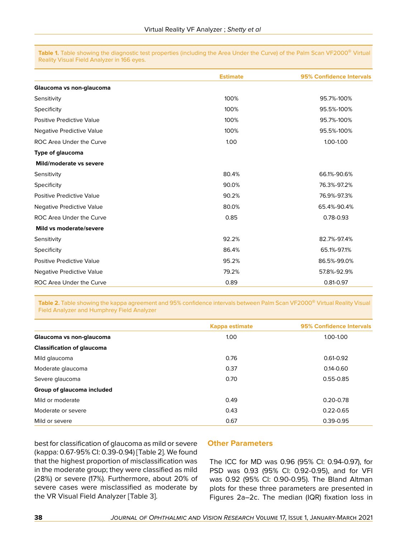**Table 1.** Table showing the diagnostic test properties (including the Area Under the Curve) of the Palm Scan VF2000® Virtual Reality Visual Field Analyzer in 166 eyes.

|                                  | <b>Estimate</b> | <b>95% Confidence Intervals</b> |  |
|----------------------------------|-----------------|---------------------------------|--|
| Glaucoma vs non-glaucoma         |                 |                                 |  |
| Sensitivity                      | 100%            | 95.7%-100%                      |  |
| Specificity                      | 100%            | 95.5%-100%                      |  |
| Positive Predictive Value        | 100%            | 95.7%-100%                      |  |
| Negative Predictive Value        | 100%            | 95.5%-100%                      |  |
| ROC Area Under the Curve         | 1.00            | 1.00-1.00                       |  |
| <b>Type of glaucoma</b>          |                 |                                 |  |
| Mild/moderate vs severe          |                 |                                 |  |
| Sensitivity                      | 80.4%           | 66.1%-90.6%                     |  |
| Specificity                      | 90.0%           | 76.3%-97.2%                     |  |
| <b>Positive Predictive Value</b> | 90.2%           | 76.9%-97.3%                     |  |
| Negative Predictive Value        | 80.0%           | 65.4%-90.4%                     |  |
| ROC Area Under the Curve         | 0.85            | 0.78-0.93                       |  |
| Mild vs moderate/severe          |                 |                                 |  |
| Sensitivity                      | 92.2%           | 82.7%-97.4%                     |  |
| Specificity                      | 86.4%           | 65.1%-97.1%                     |  |
| Positive Predictive Value        | 95.2%           | 86.5%-99.0%                     |  |
| Negative Predictive Value        | 79.2%           | 57.8%-92.9%                     |  |
| ROC Area Under the Curve         | 0.89            | 0.81-0.97                       |  |

**Table 2.** Table showing the kappa agreement and 95% confidence intervals between Palm Scan VF2000® Virtual Reality Visual Field Analyzer and Humphrey Field Analyzer

|                                   | <b>Kappa estimate</b> | 95% Confidence Intervals<br>1.00-1.00 |  |
|-----------------------------------|-----------------------|---------------------------------------|--|
| Glaucoma vs non-glaucoma          | 1.00 <sub>1</sub>     |                                       |  |
| <b>Classification of glaucoma</b> |                       |                                       |  |
| Mild glaucoma                     | 0.76                  | $0.61 - 0.92$                         |  |
| Moderate glaucoma                 | 0.37                  | $0.14 - 0.60$                         |  |
| Severe glaucoma                   | 0.70                  | $0.55 - 0.85$                         |  |
| Group of glaucoma included        |                       |                                       |  |
| Mild or moderate                  | 0.49                  | $0.20 - 0.78$                         |  |
| Moderate or severe                | 0.43                  | $0.22 - 0.65$                         |  |
| Mild or severe                    | 0.67                  | $0.39 - 0.95$                         |  |

best for classification of glaucoma as mild or severe (kappa: 0.67-95% CI: 0.39-0.94) [Table 2]. We found that the highest proportion of misclassification was in the moderate group; they were classified as mild (28%) or severe (17%). Furthermore, about 20% of severe cases were misclassified as moderate by the VR Visual Field Analyzer [Table 3].

#### **Other Parameters**

The ICC for MD was 0.96 (95% CI: 0.94-0.97), for PSD was 0.93 (95% CI: 0.92-0.95), and for VFI was 0.92 (95% CI: 0.90-0.95). The Bland Altman plots for these three parameters are presented in Figures 2a–2c. The median (IQR) fixation loss in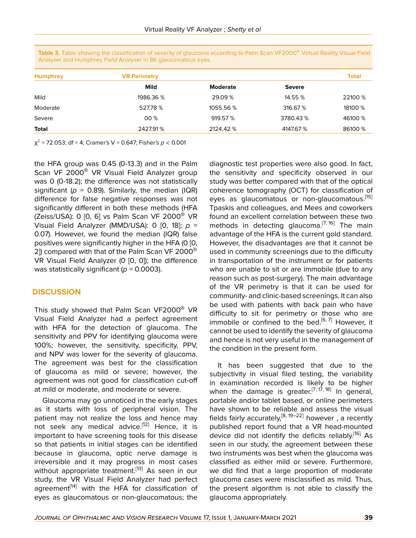| <b>Humphrey</b> | <b>VR Perimetry</b> |                 |               | <b>Total</b> |
|-----------------|---------------------|-----------------|---------------|--------------|
|                 | Mild                | <b>Moderate</b> | <b>Severe</b> |              |
| Mild            | 1986.36 %           | 29.09 %         | 14.55 %       | 22100 %      |
| Moderate        | 527.78 %            | 1055.56 %       | 316.67 %      | 18100 %      |
| Severe          | 00 %                | 919.57 %        | 3780.43 %     | 46100 %      |
| <b>Total</b>    | 2427.91%            | 2124.42 %       | 4147.67 %     | 86100 %      |

**Table 3.** Table showing the classification of severity of glaucoma according to Palm Scan VF2000® Virtual Reality Visual Field Analyzer and Humphrey Field Analyzer in 86 glaucomatous eyes.

χ 2 = 72.053; df = 4; Cramer's V = 0.647; Fisher's *p* < 0.001

the HFA group was 0.45 (0-13.3) and in the Palm Scan VF 2000<sup>®</sup> VR Visual Field Analyzer group was 0 (0-18.2); the difference was not statistically significant ( $p = 0.89$ ). Similarly, the median (IQR) difference for false negative responses was not significantly different in both these methods (HFA (Zeiss/USA): 0  $[0, 6]$  vs Palm Scan VF 2000<sup>®</sup> VR Visual Field Analyzer (MMD/USA): 0 [0, 18]; *p* = 0.07). However, we found the median (IQR) false positives were significantly higher in the HFA (0 [0, 2]) compared with that of the Palm Scan VF 2000 $^{\circledR}$ VR Visual Field Analyzer (0 [0, 0]); the difference was statistically significant (*p* = 0.0003).

## **DISCUSSION**

This study showed that Palm Scan VF2000® VR Visual Field Analyzer had a perfect agreement with HFA for the detection of glaucoma. The sensitivity and PPV for identifying glaucoma were 100%; however, the sensitivity, specificity, PPV, and NPV was lower for the severity of glaucoma. The agreement was best for the classification of glaucoma as mild or severe; however, the agreement was not good for classification cut-off at mild or moderate, and moderate or severe.

Glaucoma may go unnoticed in the early stages as it starts with loss of peripheral vision. The patient may not realize the loss and hence may not seek any medical advice.<sup>[[12\]](#page-7-10)</sup> Hence, it is important to have screening tools for this disease so that patients in initial stages can be identified because in glaucoma, optic nerve damage is irreversible and it may progress in most cases without appropriate treatment.<sup>[[13](#page-7-11)]</sup> As seen in our study, the VR Visual Field Analyzer had perfect agreement<sup>[[14](#page-7-12)]</sup> with the HFA for classification of eyes as glaucomatous or non-glaucomatous; the

diagnostic test properties were also good. In fact, the sensitivity and specificity observed in our study was better compared with that of the optical coherence tomography (OCT) for classification of eyes as glaucomatous or non-glaucomatous.<sup>[\[15](#page-7-13)]</sup> Tpaskis and colleagues, and Mees and coworkers found an excellent correlation between these two methods in detecting glaucoma.<sup>[[7,](#page-7-5) [16\]](#page-7-14)</sup> The main advantage of the HFA is the current gold standard. However, the disadvantages are that it cannot be used in community screenings due to the difficulty in transportation of the instrument or for patients who are unable to sit or are immobile (due to any reason such as post-surgery). The main advantage of the VR perimetry is that it can be used for community- and clinic-based screenings. It can also be used with patients with back pain who have difficulty to sit for perimetry or those who are immobile or confined to the bed.<sup>[[6](#page-7-4), [7](#page-7-5)]</sup> However, it cannot be used to identify the severity of glaucoma and hence is not very useful in the management of the condition in the present form.

It has been suggested that due to the subjectivity in visual filed testing, the variability in examination recorded is likely to be higher when the damage is greater.<sup>[[7,](#page-7-5) [17](#page-7-15), [18\]](#page-7-16)</sup> In general, portable and/or tablet based, or online perimeters have shown to be reliable and assess the visual fields fairly accurately,  $[8, 19-22]$  $[8, 19-22]$  $[8, 19-22]$  $[8, 19-22]$  $[8, 19-22]$  however, a recently published report found that a VR head-mounted device did not identify the deficits reliably.<sup>[\[16](#page-7-14)]</sup> As seen in our study, the agreement between these two instruments was best when the glaucoma was classified as either mild or severe. Furthermore, we did find that a large proportion of moderate glaucoma cases were misclassified as mild. Thus, the present algorithm is not able to classify the glaucoma appropriately.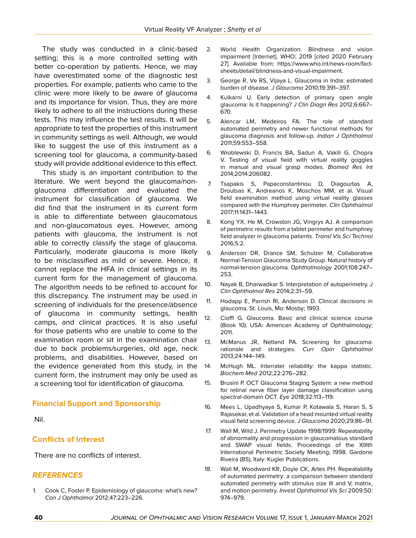The study was conducted in a clinic-based setting; this is a more controlled setting with better co-operation by patients. Hence, we may have overestimated some of the diagnostic test properties. For example, patients who came to the clinic were more likely to be aware of glaucoma and its importance for vision. Thus, they are more likely to adhere to all the instructions during these tests. This may influence the test results. It will be appropriate to test the properties of this instrument in community settings as well. Although, we would like to suggest the use of this instrument as a screening tool for glaucoma, a community-based study will provide additional evidence to this effect.

This study is an important contribution to the literature. We went beyond the glaucoma/nonglaucoma differentiation and evaluated the instrument for classification of glaucoma. We did find that the instrument in its current form is able to differentiate between glaucomatous and non-glaucomatous eyes. However, among patients with glaucoma, the instrument is not able to correctly classify the stage of glaucoma. Particularly, moderate glaucoma is more likely to be misclassified as mild or severe. Hence, it cannot replace the HFA in clinical settings in its current form for the management of glaucoma. The algorithm needs to be refined to account for this discrepancy. The instrument may be used in screening of individuals for the presence/absence of glaucoma in community settings, health camps, and clinical practices. It is also useful for those patients who are unable to come to the examination room or sit in the examination chair due to back problems/surgeries, old age, neck problems, and disabilities. However, based on the evidence generated from this study, in the current form, the instrument may only be used as a screening tool for identification of glaucoma.

### **Financial Support and Sponsorship**

Nil.

### **Conflicts of Interest**

There are no conflicts of interest.

### *REFERENCES*

<span id="page-7-0"></span>1. Cook C, Foster P. Epidemiology of glaucoma: what's new? *Can J Ophthalmol* 2012;47:223–226.

- 2. World Health Organization. Blindness and vision impairment [Internet]. WHO; 2019 [cited 2020 February 27]. Available from: https://www.who.int/news-room/factsheets/detail/blindness-and-visual-impairment.
- <span id="page-7-1"></span>3. George R, Ve RS, Vijaya L. Glaucoma in India: estimated burden of disease*. J Glaucoma* 2010;19:391–397.
- <span id="page-7-2"></span>4. Kulkarni U. Early detection of primary open angle glaucoma: Is it happening? *J Clin Diagn Res* 2012;6:667– 670.
- <span id="page-7-3"></span>5. Alencar LM, Medeiros FA. The role of standard automated perimetry and newer functional methods for glaucoma diagnosis and follow-up*. Indian J Ophthalmol* 2011;59:S53–S58.
- <span id="page-7-4"></span>6. Wroblewski D, Francis BA, Sadun A, Vakili G, Chopra V. Testing of visual field with virtual reality goggles in manual and visual grasp modes*. Biomed Res Int* 2014;2014:206082.
- <span id="page-7-5"></span>7. Tsapakis S, Papaconstantinou D, Diagourtas A, Droutsas K, Andreanos K, Moschos MM, et al. Visual field examination method using virtual reality glasses compared with the Humphrey perimeter*. Clin Ophthalmol* 2017;11:1431–1443.
- <span id="page-7-6"></span>8. Kong YX, He M, Crowston JG, Vingrys AJ. A comparison of perimetric results from a tablet perimeter and humphrey field analyzer in glaucoma patients*. Transl Vis Sci Technol* 2016;5:2.
- <span id="page-7-7"></span>9. Anderson DR, Drance SM, Schulzer M, Collaborative Normal-Tension Glaucoma Study Group. Natural history of normal-tension glaucoma*. Ophthalmology* 2001;108:247– 253.
- <span id="page-7-8"></span>10. Nayak B, Dharwadkar S. Interpretation of autoperimetry. *J Clin Ophthalmol Res* 2014;2:31–59.
- <span id="page-7-9"></span>11. Hodapp E, Parrish RI, Anderson D. Clinical decisions in glaucoma. St. Louis, Mo: Mosby; 1993.
- <span id="page-7-10"></span>12. Cioffi G. Glaucoma. Basic and clinical science course (Book 10). USA: American Academy of Ophthalmology; 2011.
- <span id="page-7-11"></span>13. McManus JR, Netland PA. Screening for glaucoma: rationale and strategies. *Curr Opin Ophthalmol* 2013;24:144–149.
- <span id="page-7-12"></span>14. McHugh ML. Interrater reliability: the kappa statistic. *Biochem Med* 2012;22:276–282.
- <span id="page-7-13"></span>15. Brusini P. OCT Glaucoma Staging System: a new method for retinal nerve fiber layer damage classification using spectral-domain OCT. *Eye* 2018;32:113–119.
- <span id="page-7-14"></span>16. Mees L, Upadhyaya S, Kumar P, Kotawala S, Haran S, S Rajasekar, et al. Validation of a head mounted virtual reality visual field screening device. *J Glaucoma* 2020;29:86–91.
- <span id="page-7-15"></span>17. Wall M, Wild J. Perimetry Update 1998/1999: Repeatability of abnormality and progression in glaucomatous standard and SWAP visual fields. Proceedings of the XIIIth International Perimetric Society Meeting; 1998. Gardone Riveira (BS), Italy: Kugler Publications.
- <span id="page-7-16"></span>18. Wall M, Woodward KR, Doyle CK, Artes PH. Repeatability of automated perimetry: a comparison between standard automated perimetry with stimulus size III and V, matrix, and motion perimetry*. Invest Ophthalmol Vis Sci* 2009;50: 974–979.